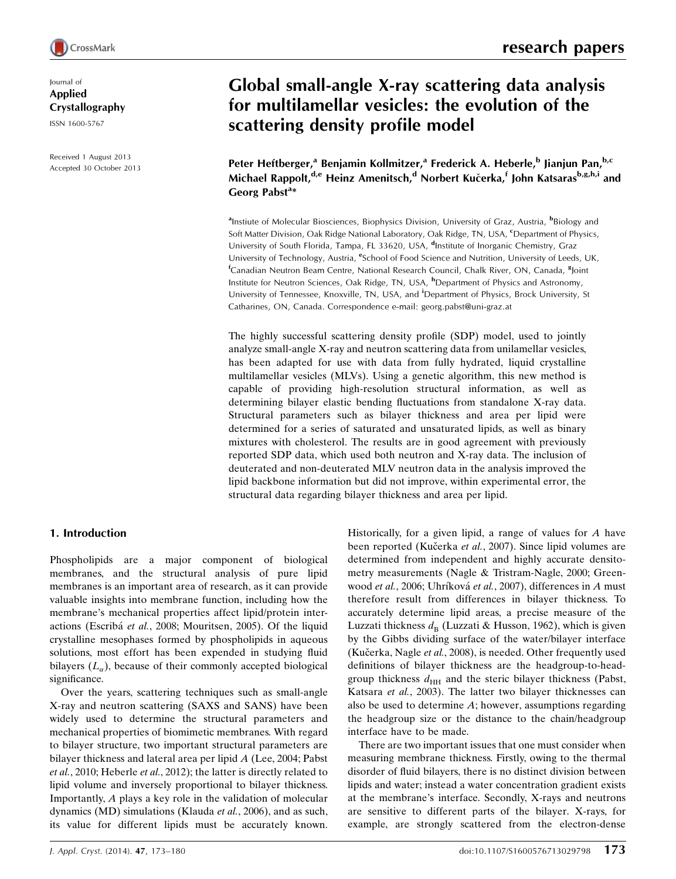

Journal of Applied Crystallography

ISSN 1600-5767

Received 1 August 2013 Accepted 30 October 2013

# Global small-angle X-ray scattering data analysis for multilamellar vesicles: the evolution of the scattering density profile model

Peter Heftberger,<sup>a</sup> Benjamin Kollmitzer,<sup>a</sup> Frederick A. Heberle,<sup>b</sup> Jianjun Pan,<sup>b,c</sup> Michael Rappolt,<sup>d,e</sup> Heinz Amenitsch,<sup>d</sup> Norbert Kučerka,<sup>f</sup> John Katsaras<sup>b,g,h,i</sup> and Georg Pabst<sup>a\*</sup>

<sup>a</sup>Instiute of Molecular Biosciences, Biophysics Division, University of Graz, Austria, <sup>b</sup>Biology and Soft Matter Division, Oak Ridge National Laboratory, Oak Ridge, TN, USA, <sup>c</sup>Department of Physics, University of South Florida, Tampa, FL 33620, USA, <sup>d</sup>Institute of Inorganic Chemistry, Graz University of Technology, Austria, <sup>e</sup>School of Food Science and Nutrition, University of Leeds, UK, <sup>f</sup>Canadian Neutron Beam Centre, National Research Council, Chalk River, ON, Canada, <sup>8</sup>Joint Institute for Neutron Sciences, Oak Ridge, TN, USA, <sup>h</sup>Department of Physics and Astronomy, University of Tennessee, Knoxville, TN, USA, and <sup>i</sup>Department of Physics, Brock University, St Catharines, ON, Canada. Correspondence e-mail: georg.pabst@uni-graz.at

The highly successful scattering density profile (SDP) model, used to jointly analyze small-angle X-ray and neutron scattering data from unilamellar vesicles, has been adapted for use with data from fully hydrated, liquid crystalline multilamellar vesicles (MLVs). Using a genetic algorithm, this new method is capable of providing high-resolution structural information, as well as determining bilayer elastic bending fluctuations from standalone X-ray data. Structural parameters such as bilayer thickness and area per lipid were determined for a series of saturated and unsaturated lipids, as well as binary mixtures with cholesterol. The results are in good agreement with previously reported SDP data, which used both neutron and X-ray data. The inclusion of deuterated and non-deuterated MLV neutron data in the analysis improved the lipid backbone information but did not improve, within experimental error, the structural data regarding bilayer thickness and area per lipid.

# 1. Introduction

Phospholipids are a major component of biological membranes, and the structural analysis of pure lipid membranes is an important area of research, as it can provide valuable insights into membrane function, including how the membrane's mechanical properties affect lipid/protein interactions (Escribá et al., 2008; Mouritsen, 2005). Of the liquid crystalline mesophases formed by phospholipids in aqueous solutions, most effort has been expended in studying fluid bilayers  $(L_{\alpha})$ , because of their commonly accepted biological significance.

Over the years, scattering techniques such as small-angle X-ray and neutron scattering (SAXS and SANS) have been widely used to determine the structural parameters and mechanical properties of biomimetic membranes. With regard to bilayer structure, two important structural parameters are bilayer thickness and lateral area per lipid A (Lee, 2004; Pabst et al., 2010; Heberle et al., 2012); the latter is directly related to lipid volume and inversely proportional to bilayer thickness. Importantly, A plays a key role in the validation of molecular dynamics (MD) simulations (Klauda et al., 2006), and as such, its value for different lipids must be accurately known.

Historically, for a given lipid, a range of values for A have been reported (Kučerka et al., 2007). Since lipid volumes are determined from independent and highly accurate densitometry measurements (Nagle & Tristram-Nagle, 2000; Greenwood et al., 2006; Uhríková et al., 2007), differences in A must therefore result from differences in bilayer thickness. To accurately determine lipid areas, a precise measure of the Luzzati thickness  $d_{\text{B}}$  (Luzzati & Husson, 1962), which is given by the Gibbs dividing surface of the water/bilayer interface (Kučerka, Nagle et al., 2008), is needed. Other frequently used definitions of bilayer thickness are the headgroup-to-headgroup thickness  $d_{HH}$  and the steric bilayer thickness (Pabst, Katsara et al., 2003). The latter two bilayer thicknesses can also be used to determine A; however, assumptions regarding the headgroup size or the distance to the chain/headgroup interface have to be made.

There are two important issues that one must consider when measuring membrane thickness. Firstly, owing to the thermal disorder of fluid bilayers, there is no distinct division between lipids and water; instead a water concentration gradient exists at the membrane's interface. Secondly, X-rays and neutrons are sensitive to different parts of the bilayer. X-rays, for example, are strongly scattered from the electron-dense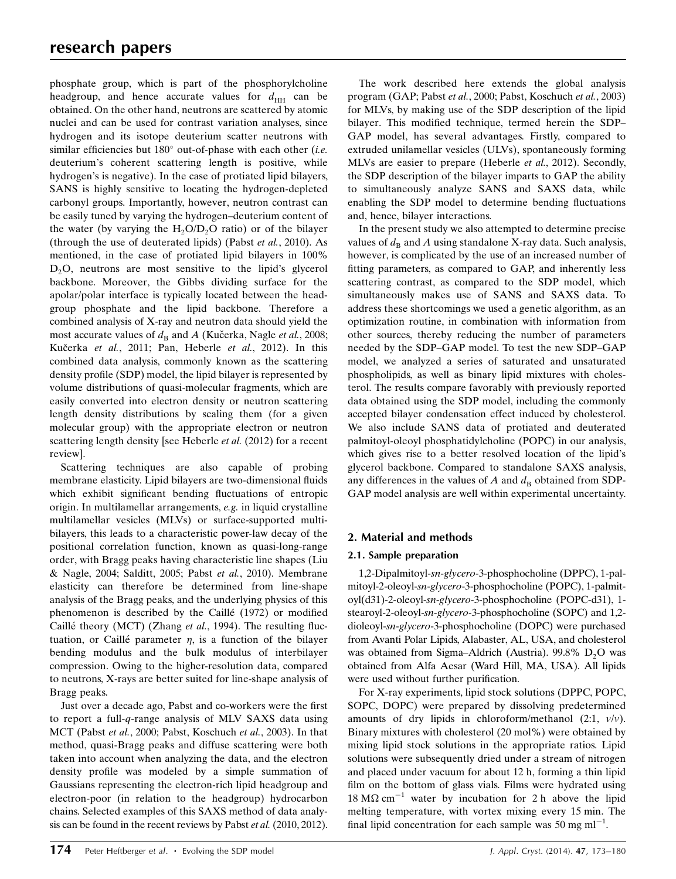phosphate group, which is part of the phosphorylcholine headgroup, and hence accurate values for  $d_{HH}$  can be obtained. On the other hand, neutrons are scattered by atomic nuclei and can be used for contrast variation analyses, since hydrogen and its isotope deuterium scatter neutrons with similar efficiencies but  $180^\circ$  out-of-phase with each other (i.e. deuterium's coherent scattering length is positive, while hydrogen's is negative). In the case of protiated lipid bilayers, SANS is highly sensitive to locating the hydrogen-depleted carbonyl groups. Importantly, however, neutron contrast can be easily tuned by varying the hydrogen–deuterium content of the water (by varying the  $H_2O/D_2O$  ratio) or of the bilayer (through the use of deuterated lipids) (Pabst et al., 2010). As mentioned, in the case of protiated lipid bilayers in 100%  $D<sub>2</sub>O$ , neutrons are most sensitive to the lipid's glycerol backbone. Moreover, the Gibbs dividing surface for the apolar/polar interface is typically located between the headgroup phosphate and the lipid backbone. Therefore a combined analysis of X-ray and neutron data should yield the most accurate values of  $d_B$  and A (Kučerka, Nagle et al., 2008; Kučerka et al., 2011; Pan, Heberle et al., 2012). In this combined data analysis, commonly known as the scattering density profile (SDP) model, the lipid bilayer is represented by volume distributions of quasi-molecular fragments, which are easily converted into electron density or neutron scattering length density distributions by scaling them (for a given molecular group) with the appropriate electron or neutron scattering length density [see Heberle et al. (2012) for a recent review].

Scattering techniques are also capable of probing membrane elasticity. Lipid bilayers are two-dimensional fluids which exhibit significant bending fluctuations of entropic origin. In multilamellar arrangements, e.g. in liquid crystalline multilamellar vesicles (MLVs) or surface-supported multibilayers, this leads to a characteristic power-law decay of the positional correlation function, known as quasi-long-range order, with Bragg peaks having characteristic line shapes (Liu & Nagle, 2004; Salditt, 2005; Pabst et al., 2010). Membrane elasticity can therefore be determined from line-shape analysis of the Bragg peaks, and the underlying physics of this phenomenon is described by the Caillé (1972) or modified Caillé theory (MCT) (Zhang et al., 1994). The resulting fluctuation, or Caillé parameter  $\eta$ , is a function of the bilayer bending modulus and the bulk modulus of interbilayer compression. Owing to the higher-resolution data, compared to neutrons, X-rays are better suited for line-shape analysis of Bragg peaks.

Just over a decade ago, Pabst and co-workers were the first to report a full-q-range analysis of MLV SAXS data using MCT (Pabst et al., 2000; Pabst, Koschuch et al., 2003). In that method, quasi-Bragg peaks and diffuse scattering were both taken into account when analyzing the data, and the electron density profile was modeled by a simple summation of Gaussians representing the electron-rich lipid headgroup and electron-poor (in relation to the headgroup) hydrocarbon chains. Selected examples of this SAXS method of data analysis can be found in the recent reviews by Pabst et al. (2010, 2012).

The work described here extends the global analysis program (GAP; Pabst et al., 2000; Pabst, Koschuch et al., 2003) for MLVs, by making use of the SDP description of the lipid bilayer. This modified technique, termed herein the SDP– GAP model, has several advantages. Firstly, compared to extruded unilamellar vesicles (ULVs), spontaneously forming MLVs are easier to prepare (Heberle et al., 2012). Secondly, the SDP description of the bilayer imparts to GAP the ability to simultaneously analyze SANS and SAXS data, while enabling the SDP model to determine bending fluctuations and, hence, bilayer interactions.

In the present study we also attempted to determine precise values of  $d_B$  and A using standalone X-ray data. Such analysis, however, is complicated by the use of an increased number of fitting parameters, as compared to GAP, and inherently less scattering contrast, as compared to the SDP model, which simultaneously makes use of SANS and SAXS data. To address these shortcomings we used a genetic algorithm, as an optimization routine, in combination with information from other sources, thereby reducing the number of parameters needed by the SDP–GAP model. To test the new SDP–GAP model, we analyzed a series of saturated and unsaturated phospholipids, as well as binary lipid mixtures with cholesterol. The results compare favorably with previously reported data obtained using the SDP model, including the commonly accepted bilayer condensation effect induced by cholesterol. We also include SANS data of protiated and deuterated palmitoyl-oleoyl phosphatidylcholine (POPC) in our analysis, which gives rise to a better resolved location of the lipid's glycerol backbone. Compared to standalone SAXS analysis, any differences in the values of A and  $d_{\text{B}}$  obtained from SDP-GAP model analysis are well within experimental uncertainty.

# 2. Material and methods

# 2.1. Sample preparation

1,2-Dipalmitoyl-sn-glycero-3-phosphocholine (DPPC), 1-palmitoyl-2-oleoyl-sn-glycero-3-phosphocholine (POPC), 1-palmitoyl(d31)-2-oleoyl-sn-glycero-3-phosphocholine (POPC-d31), 1 stearoyl-2-oleoyl-sn-glycero-3-phosphocholine (SOPC) and 1,2 dioleoyl-sn-glycero-3-phosphocholine (DOPC) were purchased from Avanti Polar Lipids, Alabaster, AL, USA, and cholesterol was obtained from Sigma–Aldrich (Austria). 99.8%  $D_2O$  was obtained from Alfa Aesar (Ward Hill, MA, USA). All lipids were used without further purification.

For X-ray experiments, lipid stock solutions (DPPC, POPC, SOPC, DOPC) were prepared by dissolving predetermined amounts of dry lipids in chloroform/methanol  $(2:1, v/v)$ . Binary mixtures with cholesterol (20 mol%) were obtained by mixing lipid stock solutions in the appropriate ratios. Lipid solutions were subsequently dried under a stream of nitrogen and placed under vacuum for about 12 h, forming a thin lipid film on the bottom of glass vials. Films were hydrated using 18 M $\Omega$  cm<sup>-1</sup> water by incubation for 2 h above the lipid melting temperature, with vortex mixing every 15 min. The final lipid concentration for each sample was 50 mg  $ml^{-1}$ .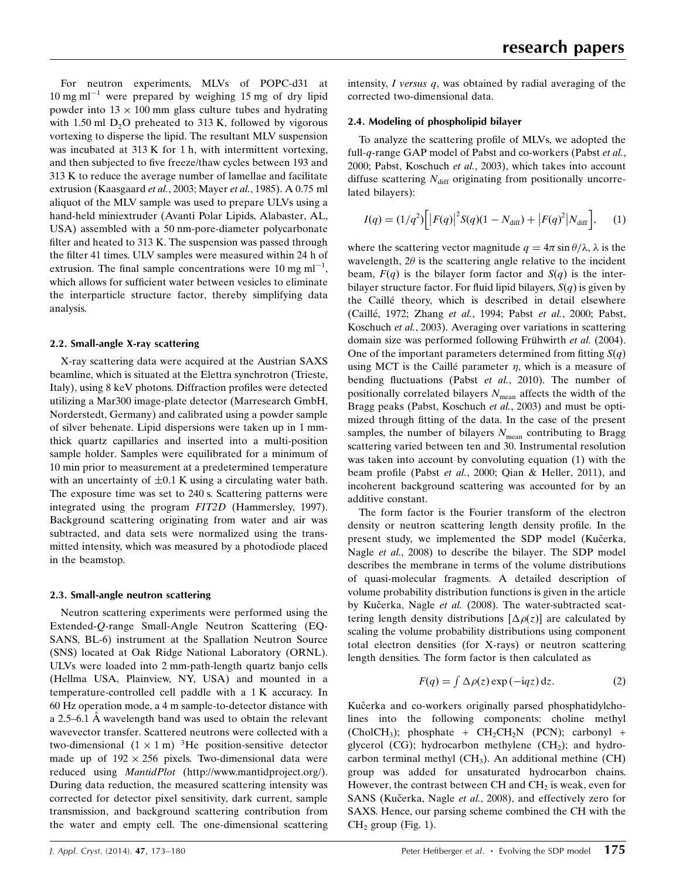For neutron experiments, MLVs of POPC-d31 at  $10 \text{ mg ml}^{-1}$  were prepared by weighing 15 mg of dry lipid powder into  $13 \times 100$  mm glass culture tubes and hydrating with 1.50 ml  $D_2O$  preheated to 313 K, followed by vigorous vortexing to disperse the lipid. The resultant MLV suspension was incubated at 313 K for 1 h, with intermittent vortexing, and then subjected to five freeze/thaw cycles between 193 and 313 K to reduce the average number of lamellae and facilitate extrusion (Kaasgaard et al., 2003; Mayer et al., 1985). A 0.75 ml aliquot of the MLV sample was used to prepare ULVs using a hand-held miniextruder (Avanti Polar Lipids, Alabaster, AL, USA) assembled with a 50 nm-pore-diameter polycarbonate filter and heated to 313 K. The suspension was passed through the filter 41 times. ULV samples were measured within 24 h of extrusion. The final sample concentrations were 10 mg  $ml^{-1}$ , which allows for sufficient water between vesicles to eliminate the interparticle structure factor, thereby simplifying data analysis.

## 2.2. Small-angle X-ray scattering

X-ray scattering data were acquired at the Austrian SAXS beamline, which is situated at the Elettra synchrotron (Trieste, Italy), using 8 keV photons. Diffraction profiles were detected utilizing a Mar300 image-plate detector (Marresearch GmbH, Norderstedt, Germany) and calibrated using a powder sample of silver behenate. Lipid dispersions were taken up in 1 mmthick quartz capillaries and inserted into a multi-position sample holder. Samples were equilibrated for a minimum of 10 min prior to measurement at a predetermined temperature with an uncertainty of  $\pm 0.1$  K using a circulating water bath. The exposure time was set to 240 s. Scattering patterns were integrated using the program FIT2D (Hammersley, 1997). Background scattering originating from water and air was subtracted, and data sets were normalized using the transmitted intensity, which was measured by a photodiode placed in the beamstop.

## 2.3. Small-angle neutron scattering

Neutron scattering experiments were performed using the Extended-Q-range Small-Angle Neutron Scattering (EQ-SANS, BL-6) instrument at the Spallation Neutron Source (SNS) located at Oak Ridge National Laboratory (ORNL). ULVs were loaded into 2 mm-path-length quartz banjo cells (Hellma USA, Plainview, NY, USA) and mounted in a temperature-controlled cell paddle with a 1 K accuracy. In 60 Hz operation mode, a 4 m sample-to-detector distance with a 2.5–6.1 Å wavelength band was used to obtain the relevant wavevector transfer. Scattered neutrons were collected with a two-dimensional  $(1 \times 1 \text{ m})$  <sup>3</sup>He position-sensitive detector made up of  $192 \times 256$  pixels. Two-dimensional data were reduced using MantidPlot (http://www.mantidproject.org/). During data reduction, the measured scattering intensity was corrected for detector pixel sensitivity, dark current, sample transmission, and background scattering contribution from the water and empty cell. The one-dimensional scattering intensity,  $I$  versus  $q$ , was obtained by radial averaging of the corrected two-dimensional data.

## 2.4. Modeling of phospholipid bilayer

To analyze the scattering profile of MLVs, we adopted the full-q-range GAP model of Pabst and co-workers (Pabst et al., 2000; Pabst, Koschuch et al., 2003), which takes into account diffuse scattering  $N_{\text{diff}}$  originating from positionally uncorrelated bilayers):

$$
I(q) = (1/q^2) \Big[ \big| F(q) \big|^2 S(q) (1 - N_{\text{diff}}) + \big| F(q)^2 \big| N_{\text{diff}} \Big], \quad (1)
$$

where the scattering vector magnitude  $q = 4\pi \sin \theta / \lambda$ ,  $\lambda$  is the wavelength,  $2\theta$  is the scattering angle relative to the incident beam,  $F(q)$  is the bilayer form factor and  $S(q)$  is the interbilayer structure factor. For fluid lipid bilayers,  $S(q)$  is given by the Caillé theory, which is described in detail elsewhere (Caillé, 1972; Zhang et al., 1994; Pabst et al., 2000; Pabst, Koschuch et al., 2003). Averaging over variations in scattering domain size was performed following Frühwirth et al. (2004). One of the important parameters determined from fitting  $S(q)$ using MCT is the Caillé parameter  $\eta$ , which is a measure of bending fluctuations (Pabst et al., 2010). The number of positionally correlated bilayers  $N_{\text{mean}}$  affects the width of the Bragg peaks (Pabst, Koschuch *et al.*, 2003) and must be optimized through fitting of the data. In the case of the present samples, the number of bilayers  $N_{\text{mean}}$  contributing to Bragg scattering varied between ten and 30. Instrumental resolution was taken into account by convoluting equation (1) with the beam profile (Pabst et al., 2000; Qian & Heller, 2011), and incoherent background scattering was accounted for by an additive constant.

The form factor is the Fourier transform of the electron density or neutron scattering length density profile. In the present study, we implemented the SDP model (Kučerka, Nagle et al., 2008) to describe the bilayer. The SDP model describes the membrane in terms of the volume distributions of quasi-molecular fragments. A detailed description of volume probability distribution functions is given in the article by Kučerka, Nagle et al. (2008). The water-subtracted scattering length density distributions  $[\Delta \rho(z)]$  are calculated by scaling the volume probability distributions using component total electron densities (for X-rays) or neutron scattering length densities. The form factor is then calculated as

$$
F(q) = \int \Delta \rho(z) \exp(-iqz) dz.
$$
 (2)

Kučerka and co-workers originally parsed phosphatidylcholines into the following components: choline methyl  $(CholCH<sub>3</sub>)$ ; phosphate +  $CH<sub>2</sub>CH<sub>2</sub>N$  (PCN); carbonyl + glycerol (CG); hydrocarbon methylene (CH<sub>2</sub>); and hydrocarbon terminal methyl  $(CH<sub>3</sub>)$ . An additional methine  $(CH)$ group was added for unsaturated hydrocarbon chains. However, the contrast between CH and  $\text{CH}_2$  is weak, even for SANS (Kučerka, Nagle et al., 2008), and effectively zero for SAXS. Hence, our parsing scheme combined the CH with the  $CH<sub>2</sub>$  group (Fig. 1).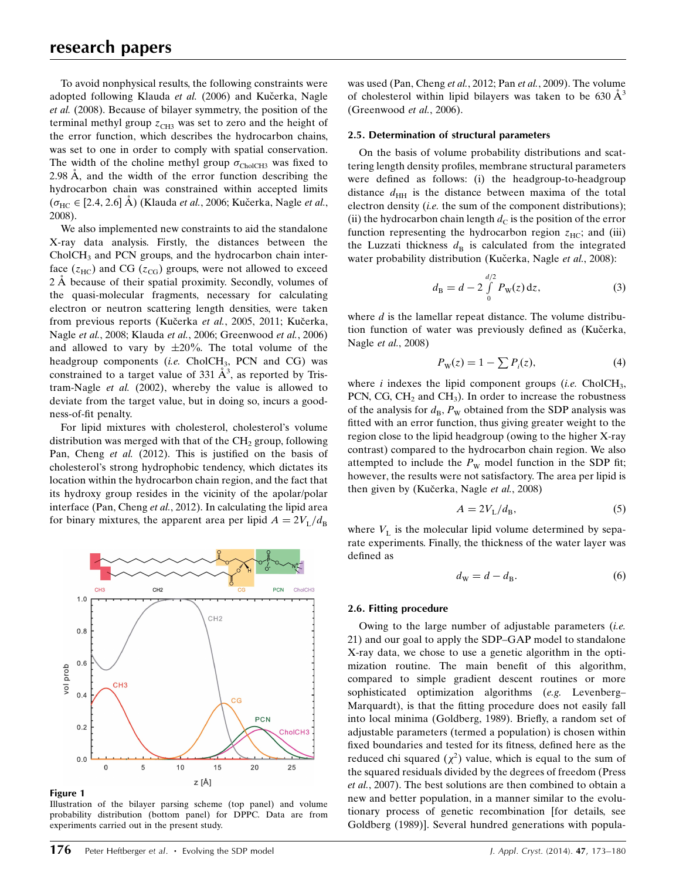To avoid nonphysical results, the following constraints were adopted following Klauda et al. (2006) and Kučerka, Nagle et al. (2008). Because of bilayer symmetry, the position of the terminal methyl group  $z<sub>CH3</sub>$  was set to zero and the height of the error function, which describes the hydrocarbon chains, was set to one in order to comply with spatial conservation. The width of the choline methyl group  $\sigma_{CholCH3}$  was fixed to 2.98  $\AA$ , and the width of the error function describing the hydrocarbon chain was constrained within accepted limits  $(\sigma_{HC} \in [2.4, 2.6]$  Å) (Klauda *et al.*, 2006; Kučerka, Nagle *et al.*, 2008).

We also implemented new constraints to aid the standalone X-ray data analysis. Firstly, the distances between the CholCH<sub>3</sub> and PCN groups, and the hydrocarbon chain interface  $(z_{HC})$  and CG  $(z_{CG})$  groups, were not allowed to exceed 2 Å because of their spatial proximity. Secondly, volumes of the quasi-molecular fragments, necessary for calculating electron or neutron scattering length densities, were taken from previous reports (Kučerka et al., 2005, 2011; Kučerka, Nagle et al., 2008; Klauda et al., 2006; Greenwood et al., 2006) and allowed to vary by  $\pm 20\%$ . The total volume of the headgroup components (i.e.  $CholCH<sub>3</sub>$ , PCN and CG) was constrained to a target value of 331  $\AA^3$ , as reported by Tristram-Nagle et al. (2002), whereby the value is allowed to deviate from the target value, but in doing so, incurs a goodness-of-fit penalty.

For lipid mixtures with cholesterol, cholesterol's volume distribution was merged with that of the  $CH<sub>2</sub>$  group, following Pan, Cheng et al. (2012). This is justified on the basis of cholesterol's strong hydrophobic tendency, which dictates its location within the hydrocarbon chain region, and the fact that its hydroxy group resides in the vicinity of the apolar/polar interface (Pan, Cheng et al., 2012). In calculating the lipid area for binary mixtures, the apparent area per lipid  $A = 2V_L/d_B$ 



Figure 1

Illustration of the bilayer parsing scheme (top panel) and volume probability distribution (bottom panel) for DPPC. Data are from experiments carried out in the present study.

was used (Pan, Cheng et al., 2012; Pan et al., 2009). The volume of cholesterol within lipid bilayers was taken to be  $630 \text{ Å}^3$ (Greenwood et al., 2006).

#### 2.5. Determination of structural parameters

On the basis of volume probability distributions and scattering length density profiles, membrane structural parameters were defined as follows: (i) the headgroup-to-headgroup distance  $d_{HH}$  is the distance between maxima of the total electron density (i.e. the sum of the component distributions); (ii) the hydrocarbon chain length  $d<sub>C</sub>$  is the position of the error function representing the hydrocarbon region  $z_{\text{HC}}$ ; and (iii) the Luzzati thickness  $d_B$  is calculated from the integrated water probability distribution (Kučerka, Nagle et al., 2008):

$$
d_{\rm B} = d - 2 \int_{0}^{d/2} P_{\rm W}(z) \, \mathrm{d}z,\tag{3}
$$

where  $d$  is the lamellar repeat distance. The volume distribution function of water was previously defined as (Kučerka, Nagle et al., 2008)

$$
P_{\mathbf{W}}(z) = 1 - \sum P_i(z),\tag{4}
$$

where i indexes the lipid component groups (i.e.  $CholCH<sub>3</sub>$ , PCN, CG,  $CH<sub>2</sub>$  and  $CH<sub>3</sub>$ ). In order to increase the robustness of the analysis for  $d_{\text{B}}$ ,  $P_{\text{W}}$  obtained from the SDP analysis was fitted with an error function, thus giving greater weight to the region close to the lipid headgroup (owing to the higher X-ray contrast) compared to the hydrocarbon chain region. We also attempted to include the  $P_W$  model function in the SDP fit; however, the results were not satisfactory. The area per lipid is then given by (Kučerka, Nagle *et al.*, 2008)

$$
A = 2V_{\rm L}/d_{\rm B},\tag{5}
$$

where  $V<sub>L</sub>$  is the molecular lipid volume determined by separate experiments. Finally, the thickness of the water layer was defined as

$$
d_{\mathbf{W}} = d - d_{\mathbf{B}}.\tag{6}
$$

#### 2.6. Fitting procedure

Owing to the large number of adjustable parameters *(i.e.*) 21) and our goal to apply the SDP–GAP model to standalone X-ray data, we chose to use a genetic algorithm in the optimization routine. The main benefit of this algorithm, compared to simple gradient descent routines or more sophisticated optimization algorithms (e.g. Levenberg– Marquardt), is that the fitting procedure does not easily fall into local minima (Goldberg, 1989). Briefly, a random set of adjustable parameters (termed a population) is chosen within fixed boundaries and tested for its fitness, defined here as the reduced chi squared  $(\chi^2)$  value, which is equal to the sum of the squared residuals divided by the degrees of freedom (Press et al., 2007). The best solutions are then combined to obtain a new and better population, in a manner similar to the evolutionary process of genetic recombination [for details, see Goldberg (1989)]. Several hundred generations with popula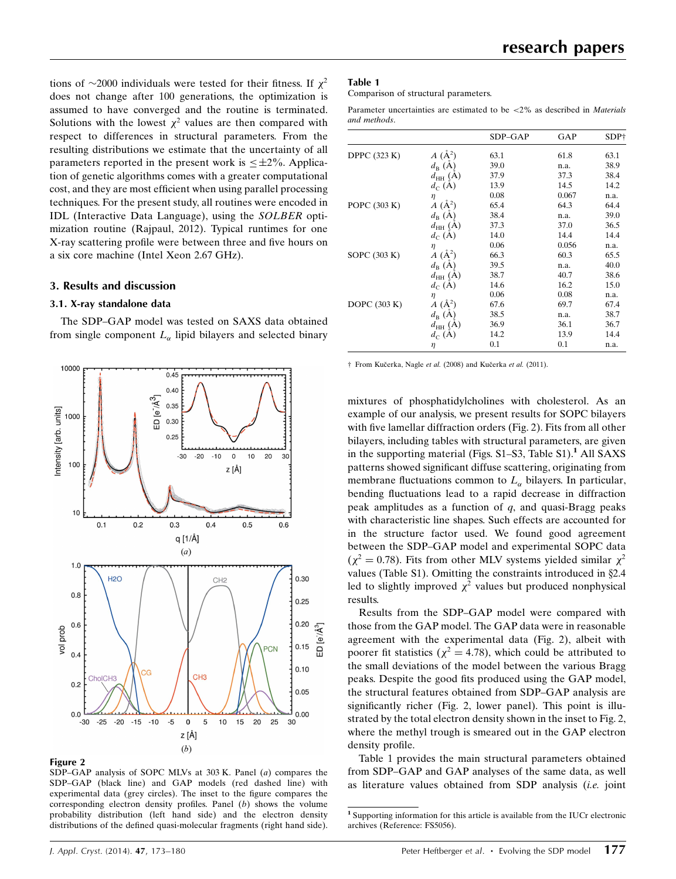tions of  $\sim$ 2000 individuals were tested for their fitness. If  $\chi^2$ does not change after 100 generations, the optimization is assumed to have converged and the routine is terminated. Solutions with the lowest  $\chi^2$  values are then compared with respect to differences in structural parameters. From the resulting distributions we estimate that the uncertainty of all parameters reported in the present work is  $\leq \pm 2\%$ . Application of genetic algorithms comes with a greater computational cost, and they are most efficient when using parallel processing techniques. For the present study, all routines were encoded in IDL (Interactive Data Language), using the SOLBER optimization routine (Rajpaul, 2012). Typical runtimes for one X-ray scattering profile were between three and five hours on a six core machine (Intel Xeon 2.67 GHz).

## 3. Results and discussion

## 3.1. X-ray standalone data

The SDP–GAP model was tested on SAXS data obtained from single component  $L_{\alpha}$  lipid bilayers and selected binary



#### Figure 2

SDP–GAP analysis of SOPC MLVs at 303 K. Panel (a) compares the SDP–GAP (black line) and GAP models (red dashed line) with experimental data (grey circles). The inset to the figure compares the corresponding electron density profiles. Panel (b) shows the volume probability distribution (left hand side) and the electron density distributions of the defined quasi-molecular fragments (right hand side).

#### Table 1

Comparison of structural parameters.

Parameter uncertainties are estimated to be <2% as described in Materials and methods.

|                     |                                 | SDP-GAP | GAP   | SDP† |
|---------------------|---------------------------------|---------|-------|------|
| <b>DPPC</b> (323 K) | $A(\AA^2)$                      | 63.1    | 61.8  | 63.1 |
|                     | $d_{\rm B}(\dot{\rm A})$        | 39.0    | n.a.  | 38.9 |
|                     | $d_{HH}$ (A)                    | 37.9    | 37.3  | 38.4 |
|                     | $d_C(A)$                        | 13.9    | 14.5  | 14.2 |
|                     | η                               | 0.08    | 0.067 | n.a. |
| POPC (303 K)        | $A(\AA^2)$                      | 65.4    | 64.3  | 64.4 |
|                     | $d_{\rm B}$ (A)                 | 38.4    | n.a.  | 39.0 |
|                     | $d_{HH}$ (A)                    | 37.3    | 37.0  | 36.5 |
|                     | $d_C(A)$                        | 14.0    | 14.4  | 14.4 |
|                     | $\eta$                          | 0.06    | 0.056 | n.a. |
| SOPC (303 K)        | $\ddot{A}$ ( $\mathring{A}^2$ ) | 66.3    | 60.3  | 65.5 |
|                     | $d_{\rm B}(\rm A)$              | 39.5    | n.a.  | 40.0 |
|                     | $d_{HH}$ (A)                    | 38.7    | 40.7  | 38.6 |
|                     | $d_C(A)$                        | 14.6    | 16.2  | 15.0 |
|                     | η                               | 0.06    | 0.08  | n.a. |
| DOPC $(303 K)$      | $A(\mathbf{A}^2)$               | 67.6    | 69.7  | 67.4 |
|                     | $d_{\rm B}$ (A)                 | 38.5    | n.a.  | 38.7 |
|                     | $d_{HH}$ (A)                    | 36.9    | 36.1  | 36.7 |
|                     | $d_C(A)$                        | 14.2    | 13.9  | 14.4 |
|                     | η                               | 0.1     | 0.1   | n.a. |

† From Kučerka, Nagle et al. (2008) and Kučerka et al. (2011).

mixtures of phosphatidylcholines with cholesterol. As an example of our analysis, we present results for SOPC bilayers with five lamellar diffraction orders (Fig. 2). Fits from all other bilayers, including tables with structural parameters, are given in the supporting material (Figs.  $S1-S3$ , Table  $S1$ ).<sup>1</sup> All SAXS patterns showed significant diffuse scattering, originating from membrane fluctuations common to  $L_{\alpha}$  bilayers. In particular, bending fluctuations lead to a rapid decrease in diffraction peak amplitudes as a function of  $q$ , and quasi-Bragg peaks with characteristic line shapes. Such effects are accounted for in the structure factor used. We found good agreement between the SDP–GAP model and experimental SOPC data  $(\chi^2 = 0.78)$ . Fits from other MLV systems yielded similar  $\chi^2$ values (Table S1). Omitting the constraints introduced in §2.4 led to slightly improved  $\chi^2$  values but produced nonphysical results.

Results from the SDP–GAP model were compared with those from the GAP model. The GAP data were in reasonable agreement with the experimental data (Fig. 2), albeit with poorer fit statistics ( $\chi^2 = 4.78$ ), which could be attributed to the small deviations of the model between the various Bragg peaks. Despite the good fits produced using the GAP model, the structural features obtained from SDP–GAP analysis are significantly richer (Fig. 2, lower panel). This point is illustrated by the total electron density shown in the inset to Fig. 2, where the methyl trough is smeared out in the GAP electron density profile.

Table 1 provides the main structural parameters obtained from SDP–GAP and GAP analyses of the same data, as well as literature values obtained from SDP analysis (i.e. joint

<sup>1</sup> Supporting information for this article is available from the IUCr electronic archives (Reference: FS5056).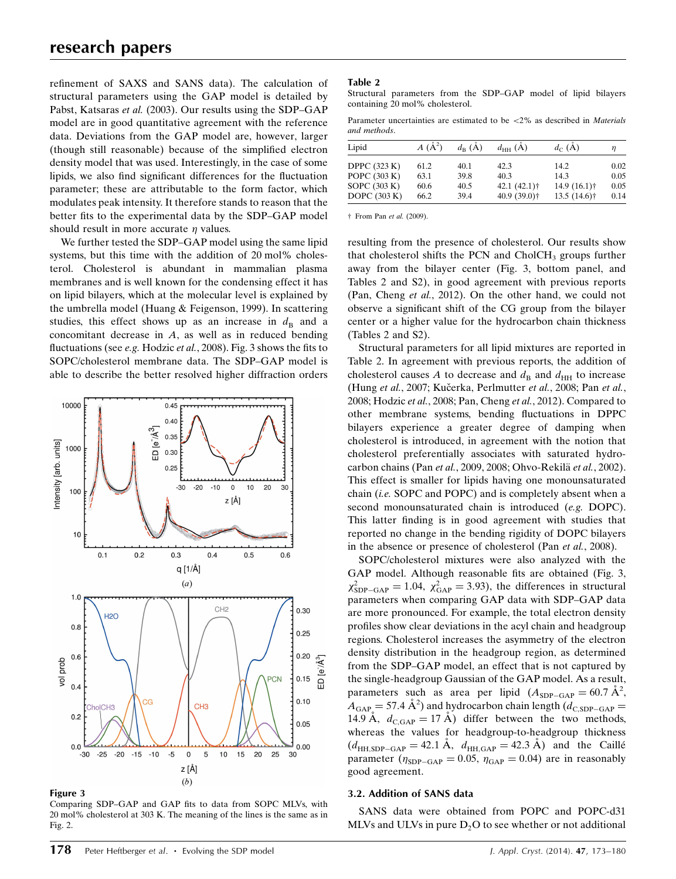refinement of SAXS and SANS data). The calculation of structural parameters using the GAP model is detailed by Pabst, Katsaras et al. (2003). Our results using the SDP–GAP model are in good quantitative agreement with the reference data. Deviations from the GAP model are, however, larger (though still reasonable) because of the simplified electron density model that was used. Interestingly, in the case of some lipids, we also find significant differences for the fluctuation parameter; these are attributable to the form factor, which modulates peak intensity. It therefore stands to reason that the better fits to the experimental data by the SDP–GAP model should result in more accurate  $\eta$  values.

We further tested the SDP–GAP model using the same lipid systems, but this time with the addition of 20 mol% cholesterol. Cholesterol is abundant in mammalian plasma membranes and is well known for the condensing effect it has on lipid bilayers, which at the molecular level is explained by the umbrella model (Huang & Feigenson, 1999). In scattering studies, this effect shows up as an increase in  $d_{\text{B}}$  and a concomitant decrease in A, as well as in reduced bending fluctuations (see e.g. Hodzic et al., 2008). Fig. 3 shows the fits to SOPC/cholesterol membrane data. The SDP–GAP model is able to describe the better resolved higher diffraction orders



#### Figure 3

Comparing SDP–GAP and GAP fits to data from SOPC MLVs, with 20 mol% cholesterol at 303 K. The meaning of the lines is the same as in Fig. 2.

#### Table 2

Structural parameters from the SDP–GAP model of lipid bilayers containing 20 mol% cholesterol.

Parameter uncertainties are estimated to be <2% as described in Materials and methods.

| Lipid               | $A(\AA^2)$ | $d_{\rm p}$ (A) | $d_{HH}$ (A)              | $d_C(A)$       | η    |
|---------------------|------------|-----------------|---------------------------|----------------|------|
| <b>DPPC</b> (323 K) | 61.2       | 40.1            | 42.3                      | 14.2           | 0.02 |
| POPC $(303 K)$      | 63.1       | 39.8            | 40.3                      | 14.3           | 0.05 |
| SOPC $(303 K)$      | 60.6       | 40.5            | $42.1 (42.1)$ †           | $14.9(16.1)$ † | 0.05 |
| DOPC $(303 K)$      | 66.2       | 39.4            | $40.9(39.0)$ <sup>+</sup> | $13.5(14.6)$ † | 0.14 |

† From Pan et al. (2009).

resulting from the presence of cholesterol. Our results show that cholesterol shifts the PCN and CholCH<sub>3</sub> groups further away from the bilayer center (Fig. 3, bottom panel, and Tables 2 and S2), in good agreement with previous reports (Pan, Cheng et al., 2012). On the other hand, we could not observe a significant shift of the CG group from the bilayer center or a higher value for the hydrocarbon chain thickness (Tables 2 and S2).

Structural parameters for all lipid mixtures are reported in Table 2. In agreement with previous reports, the addition of cholesterol causes A to decrease and  $d_B$  and  $d_{HH}$  to increase (Hung et al., 2007; Kučerka, Perlmutter et al., 2008; Pan et al., 2008; Hodzic et al., 2008; Pan, Cheng et al., 2012). Compared to other membrane systems, bending fluctuations in DPPC bilayers experience a greater degree of damping when cholesterol is introduced, in agreement with the notion that cholesterol preferentially associates with saturated hydrocarbon chains (Pan et al., 2009, 2008; Ohvo-Rekilä et al., 2002). This effect is smaller for lipids having one monounsaturated chain (i.e. SOPC and POPC) and is completely absent when a second monounsaturated chain is introduced (e.g. DOPC). This latter finding is in good agreement with studies that reported no change in the bending rigidity of DOPC bilayers in the absence or presence of cholesterol (Pan et al., 2008).

SOPC/cholesterol mixtures were also analyzed with the GAP model. Although reasonable fits are obtained (Fig. 3,  $\chi^2_{SDP-GAP} = 1.04$ ,  $\chi^2_{GAP} = 3.93$ ), the differences in structural parameters when comparing GAP data with SDP–GAP data are more pronounced. For example, the total electron density profiles show clear deviations in the acyl chain and headgroup regions. Cholesterol increases the asymmetry of the electron density distribution in the headgroup region, as determined from the SDP–GAP model, an effect that is not captured by the single-headgroup Gaussian of the GAP model. As a result, parameters such as area per lipid  $(A_{SDP-GAP} = 60.7 \text{ Å}^2,$  $A_{\text{GAP}} = 57.4 \text{ Å}^2$ ) and hydrocarbon chain length  $(d_{\text{C,SDP-GAP}})$ 14.9 Å,  $d_{C, GAP} = 17$  Å) differ between the two methods, whereas the values for headgroup-to-headgroup thickness  $(d<sub>HH,SDP-GAP</sub> = 42.1 \text{ Å}, d<sub>HH,GAP</sub> = 42.3 \text{ Å})$  and the Caillé parameter ( $\eta_{SDP-GAP} = 0.05$ ,  $\eta_{GAP} = 0.04$ ) are in reasonably good agreement.

### 3.2. Addition of SANS data

SANS data were obtained from POPC and POPC-d31 MLVs and ULVs in pure  $D<sub>2</sub>O$  to see whether or not additional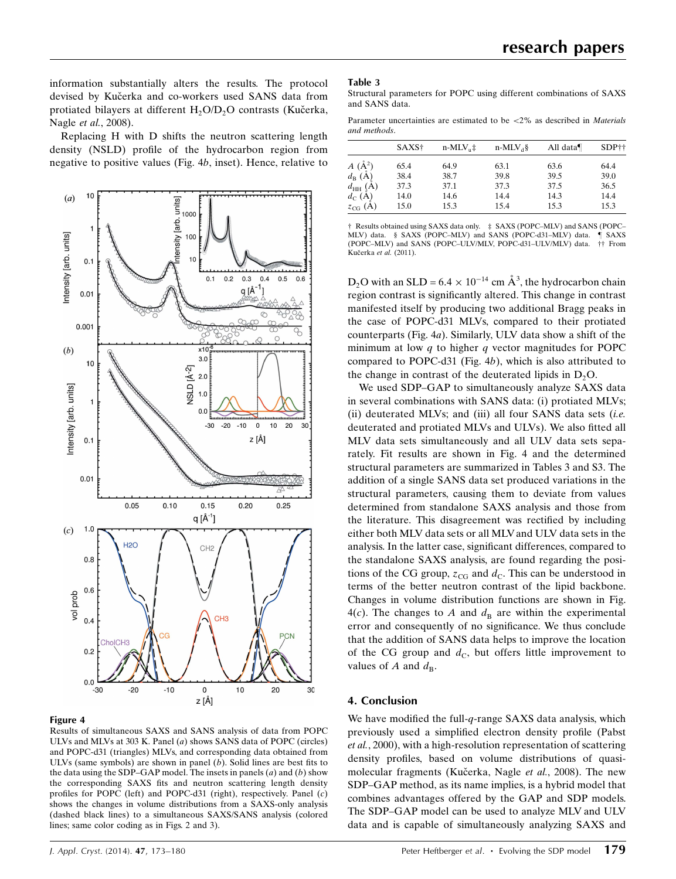information substantially alters the results. The protocol devised by Kučerka and co-workers used SANS data from protiated bilayers at different H<sub>2</sub>O/D<sub>2</sub>O contrasts (Kučerka, Nagle et al., 2008).

Replacing H with D shifts the neutron scattering length density (NSLD) profile of the hydrocarbon region from negative to positive values (Fig. 4b, inset). Hence, relative to



#### Figure 4

Results of simultaneous SAXS and SANS analysis of data from POPC ULVs and MLVs at 303 K. Panel (a) shows SANS data of POPC (circles) and POPC-d31 (triangles) MLVs, and corresponding data obtained from ULVs (same symbols) are shown in panel  $(b)$ . Solid lines are best fits to the data using the SDP–GAP model. The insets in panels  $(a)$  and  $(b)$  show the corresponding SAXS fits and neutron scattering length density profiles for POPC (left) and POPC-d31 (right), respectively. Panel (c) shows the changes in volume distributions from a SAXS-only analysis (dashed black lines) to a simultaneous SAXS/SANS analysis (colored lines; same color coding as in Figs. 2 and 3).

Structural parameters for POPC using different combinations of SAXS and SANS data.

Parameter uncertainties are estimated to be  $\langle 2\%$  as described in *Materials* and methods.

|                       | SAXS <sup>†</sup> | $n-MLV_{n}$ ‡ | $n-MLV_A\$ | All data $\P$ | SDP <sup>++</sup> |  |
|-----------------------|-------------------|---------------|------------|---------------|-------------------|--|
| $A(\AA^2)$            | 65.4              | 64.9          | 63.1       | 63.6          | 64.4              |  |
| $d_{\text{B}}\ (\AA)$ | 38.4              | 38.7          | 39.8       | 39.5          | 39.0              |  |
| $d_{\rm HH}(\AA)$     | 37.3              | 37.1          | 37.3       | 37.5          | 36.5              |  |
| $d_C(A)$              | 14.0              | 14.6          | 14.4       | 14.3          | 14.4              |  |
| $z_{CG}$ (A)          | 15.0              | 15.3          | 15.4       | 15.3          | 15.3              |  |

† Results obtained using SAXS data only. ‡ SAXS (POPC–MLV) and SANS (POPC– MLV) data. § SAXS (POPC–MLV) and SANS (POPC-d31–MLV) data. (POPC–MLV) and SANS (POPC–ULV/MLV, POPC-d31–ULV/MLV) data. †† From Kučerka et al. (2011).

 $D_2$ O with an SLD = 6.4  $\times$  10<sup>-14</sup> cm  $\AA^3$ , the hydrocarbon chain region contrast is significantly altered. This change in contrast manifested itself by producing two additional Bragg peaks in the case of POPC-d31 MLVs, compared to their protiated counterparts (Fig. 4a). Similarly, ULV data show a shift of the minimum at low  $q$  to higher  $q$  vector magnitudes for POPC compared to POPC-d31 (Fig. 4b), which is also attributed to the change in contrast of the deuterated lipids in  $D_2O$ .

We used SDP–GAP to simultaneously analyze SAXS data in several combinations with SANS data: (i) protiated MLVs; (ii) deuterated MLVs; and (iii) all four SANS data sets  $(i.e.$ deuterated and protiated MLVs and ULVs). We also fitted all MLV data sets simultaneously and all ULV data sets separately. Fit results are shown in Fig. 4 and the determined structural parameters are summarized in Tables 3 and S3. The addition of a single SANS data set produced variations in the structural parameters, causing them to deviate from values determined from standalone SAXS analysis and those from the literature. This disagreement was rectified by including either both MLV data sets or all MLVand ULV data sets in the analysis. In the latter case, significant differences, compared to the standalone SAXS analysis, are found regarding the positions of the CG group,  $z_{CG}$  and  $d_C$ . This can be understood in terms of the better neutron contrast of the lipid backbone. Changes in volume distribution functions are shown in Fig. 4(c). The changes to A and  $d_{\text{B}}$  are within the experimental error and consequently of no significance. We thus conclude that the addition of SANS data helps to improve the location of the CG group and  $d_{\rm C}$ , but offers little improvement to values of A and  $d_{\text{B}}$ .

## 4. Conclusion

We have modified the full- $q$ -range SAXS data analysis, which previously used a simplified electron density profile (Pabst et al., 2000), with a high-resolution representation of scattering density profiles, based on volume distributions of quasimolecular fragments (Kučerka, Nagle et al., 2008). The new SDP–GAP method, as its name implies, is a hybrid model that combines advantages offered by the GAP and SDP models. The SDP–GAP model can be used to analyze MLV and ULV data and is capable of simultaneously analyzing SAXS and